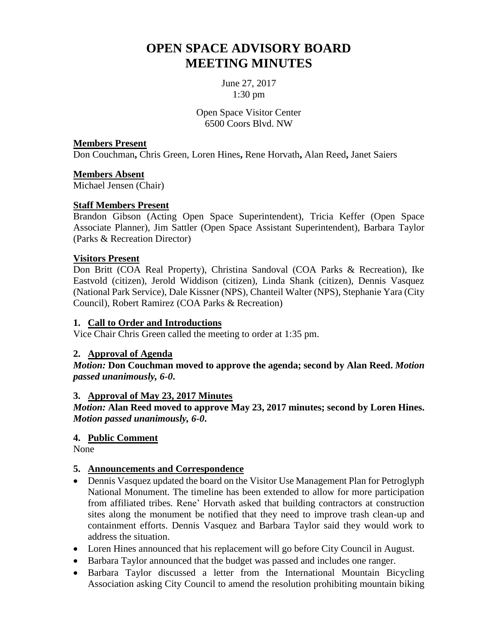# **OPEN SPACE ADVISORY BOARD MEETING MINUTES**

June 27, 2017 1:30 pm

Open Space Visitor Center 6500 Coors Blvd. NW

#### **Members Present**

Don Couchman**,** Chris Green, Loren Hines**,** Rene Horvath**,** Alan Reed**,** Janet Saiers

#### **Members Absent**

Michael Jensen (Chair)

## **Staff Members Present**

Brandon Gibson (Acting Open Space Superintendent), Tricia Keffer (Open Space Associate Planner), Jim Sattler (Open Space Assistant Superintendent), Barbara Taylor (Parks & Recreation Director)

#### **Visitors Present**

Don Britt (COA Real Property), Christina Sandoval (COA Parks & Recreation), Ike Eastvold (citizen), Jerold Widdison (citizen), Linda Shank (citizen), Dennis Vasquez (National Park Service), Dale Kissner (NPS), Chanteil Walter (NPS), Stephanie Yara (City Council), Robert Ramirez (COA Parks & Recreation)

#### **1. Call to Order and Introductions**

Vice Chair Chris Green called the meeting to order at 1:35 pm.

## **2. Approval of Agenda**

*Motion:* **Don Couchman moved to approve the agenda; second by Alan Reed.** *Motion passed unanimously, 6-0***.**

## **3. Approval of May 23, 2017 Minutes**

*Motion:* **Alan Reed moved to approve May 23, 2017 minutes; second by Loren Hines.**  *Motion passed unanimously, 6-0***.**

## **4. Public Comment**

None

## **5. Announcements and Correspondence**

- Dennis Vasquez updated the board on the Visitor Use Management Plan for Petroglyph National Monument. The timeline has been extended to allow for more participation from affiliated tribes. Rene' Horvath asked that building contractors at construction sites along the monument be notified that they need to improve trash clean-up and containment efforts. Dennis Vasquez and Barbara Taylor said they would work to address the situation.
- Loren Hines announced that his replacement will go before City Council in August.
- Barbara Taylor announced that the budget was passed and includes one ranger.
- Barbara Taylor discussed a letter from the International Mountain Bicycling Association asking City Council to amend the resolution prohibiting mountain biking